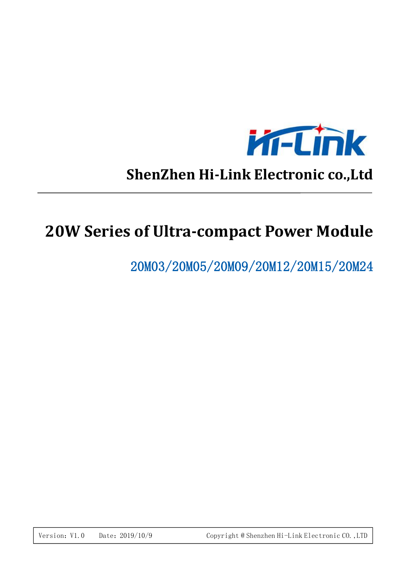

# **ShenZhen Hi-Link Electronic co.,Ltd**

# **20W Series of Ultra-compact Power Module**

20M03/20M05/20M09/20M12/20M15/20M24

Version: V1.0 Date: 2019/10/9 Copyright @ Shenzhen Hi-Link Electronic CO., LTD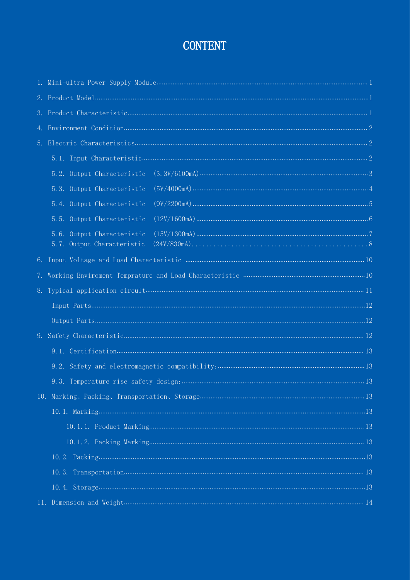## **CONTENT**

| 5.3. Output Characteristic                    |  |
|-----------------------------------------------|--|
| 5.4. Output Characteristic                    |  |
| 5.5. Output Characteristic                    |  |
| $(24V/830mA) 8$<br>5.7. Output Characteristic |  |
|                                               |  |
|                                               |  |
|                                               |  |
|                                               |  |
|                                               |  |
|                                               |  |
|                                               |  |
|                                               |  |
|                                               |  |
|                                               |  |
|                                               |  |
|                                               |  |
|                                               |  |
|                                               |  |
|                                               |  |
|                                               |  |
|                                               |  |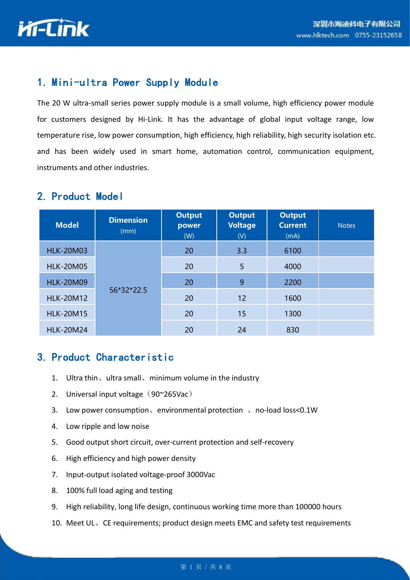

#### 1. Mini-ultra Power Supply Module

The 20 W ultra-small series power supply module is a small volume, high efficiency power module for customers designed by Hi-Link. It has the advantage of global input voltage range, low temperature rise, low power consumption, high efficiency, high reliability, high security isolation etc. and has been widely used in smart home, automation control, communication equipment, instruments and other industries.

#### 2. Product Model

| <b>Model</b>     | <b>Dimension</b><br>(mm) | <b>Output</b><br>power<br>(W) | <b>Output</b><br><b>Voltage</b><br>(V) | <b>Output</b><br><b>Current</b><br>(mA) | <b>Notes</b> |
|------------------|--------------------------|-------------------------------|----------------------------------------|-----------------------------------------|--------------|
| <b>HLK-20M03</b> |                          | 20                            | 3.3                                    | 6100                                    |              |
| <b>HLK-20M05</b> |                          | 20                            | 5                                      | 4000                                    |              |
| <b>HLK-20M09</b> |                          | 20                            | 9                                      | 2200                                    |              |
| <b>HLK-20M12</b> | 56*32*22.5               | 20                            | 12                                     | 1600                                    |              |
| <b>HLK-20M15</b> |                          | 20                            | 15                                     | 1300                                    |              |
| <b>HLK-20M24</b> |                          | 20                            | 24                                     | 830                                     |              |

#### 3. Product Characteristic

- 1. Ultra thin、ultra small、minimum volume in the industry
- 2. Universal input voltage  $(90^{\circ}265\text{Vac})$
- 3. Low power consumption, environmental protection, no-load loss<0.1W
- 4. Low ripple and low noise
- 5. Good output short circuit, over-current protection and self-recovery
- 6. High efficiency and high power density
- 7. Input-output isolated voltage-proof 3000Vac
- 8. 100% full load aging and testing
- 9. High reliability, long life design, continuous working time more than 100000 hours
- 10. Meet UL、CE requirements; product design meets EMC and safety test requirements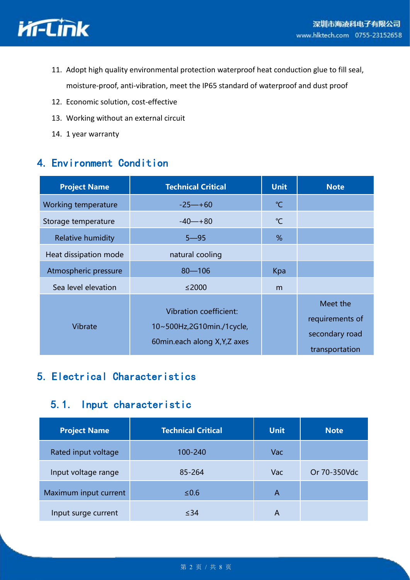

- 11. Adopt high quality environmental protection waterproof heat conduction glue to fill seal, moisture-proof, anti-vibration, meet the IP65 standard of waterproof and dust proof
- 12. Economic solution, cost-effective
- 13. Working without an external circuit
- 14. 1 year warranty

### 4. Environment Condition

| <b>Project Name</b>      | <b>Technical Critical</b>                                                                   | <b>Unit</b>  | <b>Note</b>                                                     |
|--------------------------|---------------------------------------------------------------------------------------------|--------------|-----------------------------------------------------------------|
| Working temperature      | $-25 - +60$                                                                                 | $^{\circ}$ C |                                                                 |
| Storage temperature      | $-40 - +80$                                                                                 | $\mathrm{C}$ |                                                                 |
| <b>Relative humidity</b> | $5 - 95$                                                                                    | %            |                                                                 |
| Heat dissipation mode    | natural cooling                                                                             |              |                                                                 |
| Atmospheric pressure     | $80 - 106$                                                                                  | Kpa          |                                                                 |
| Sea level elevation      | $≤2000$                                                                                     | m            |                                                                 |
| Vibrate                  | <b>Vibration coefficient:</b><br>10~500Hz,2G10min./1cycle,<br>60min.each along X, Y, Z axes |              | Meet the<br>requirements of<br>secondary road<br>transportation |

### 5. Electrical Characteristics

#### 5.1. Input characteristic

| <b>Project Name</b>   | <b>Technical Critical</b> | <b>Unit</b> | <b>Note</b>  |
|-----------------------|---------------------------|-------------|--------------|
| Rated input voltage   | 100-240                   | Vac         |              |
| Input voltage range   | 85-264                    | Vac         | Or 70-350Vdc |
| Maximum input current | $≤0.6$                    | A           |              |
| Input surge current   | $\leq$ 34                 | A           |              |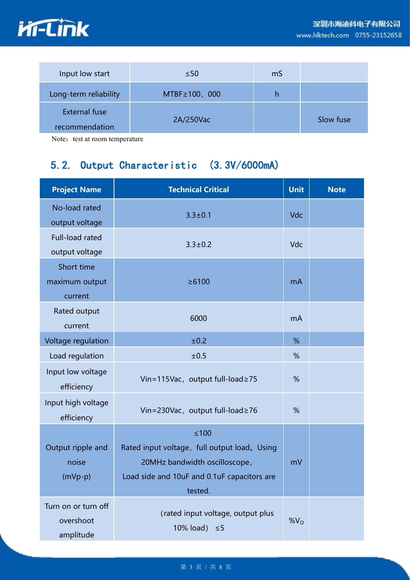



Note: test at room temperature

## <span id="page-4-0"></span>5.2. Output Characteristic (3.3V/6000mA)

| <b>Project Name</b> | <b>Technical Critical</b>                    | <b>Unit</b>     | <b>Note</b> |
|---------------------|----------------------------------------------|-----------------|-------------|
| No-load rated       | $3.3 \pm 0.1$                                | Vdc             |             |
| output voltage      |                                              |                 |             |
| Full-load rated     | $3.3 \pm 0.2$                                | Vdc             |             |
| output voltage      |                                              |                 |             |
| Short time          |                                              |                 |             |
| maximum output      | ≥6100                                        | mA              |             |
| current             |                                              |                 |             |
| Rated output        |                                              |                 |             |
| current             | 6000                                         | <b>mA</b>       |             |
| Voltage regulation  | ±0.2                                         | %               |             |
| Load regulation     | ±0.5                                         | %               |             |
| Input low voltage   |                                              |                 |             |
| efficiency          | Vin=115Vac, output full-load≥75              | %               |             |
| Input high voltage  |                                              |                 |             |
| efficiency          | Vin=230Vac, output full-load≥76              | %               |             |
|                     | $≤100$                                       |                 |             |
| Output ripple and   | Rated input voltage, full output load. Using |                 |             |
| noise               | 20MHz bandwidth oscilloscope,                | mV              |             |
| $(mVp-p)$           | Load side and 10uF and 0.1uF capacitors are  |                 |             |
|                     | tested.                                      |                 |             |
| Turn on or turn off |                                              |                 |             |
| overshoot           | (rated input voltage, output plus            | %V <sub>O</sub> |             |
| amplitude           | 10% load) $\leq$ 5                           |                 |             |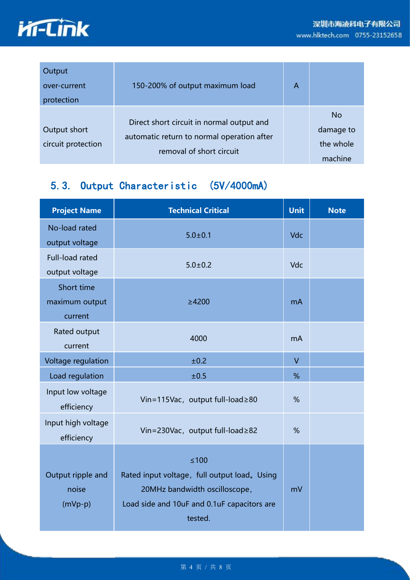

| Output<br>over-current<br>protection | 150-200% of output maximum load                                                                                     | A |                                                |
|--------------------------------------|---------------------------------------------------------------------------------------------------------------------|---|------------------------------------------------|
| Output short<br>circuit protection   | Direct short circuit in normal output and<br>automatic return to normal operation after<br>removal of short circuit |   | <b>No</b><br>damage to<br>the whole<br>machine |

## <span id="page-5-0"></span>5.3. Output Characteristic (5V/4000mA)

| <b>Project Name</b>                     | <b>Technical Critical</b>                                                                                                                             | <b>Unit</b> | <b>Note</b> |
|-----------------------------------------|-------------------------------------------------------------------------------------------------------------------------------------------------------|-------------|-------------|
| No-load rated<br>output voltage         | $5.0 \pm 0.1$                                                                                                                                         | Vdc         |             |
| Full-load rated<br>output voltage       | $5.0 + 0.2$                                                                                                                                           | <b>Vdc</b>  |             |
| Short time<br>maximum output<br>current | ≥4200                                                                                                                                                 | mA          |             |
| Rated output<br>current                 | 4000                                                                                                                                                  | mA          |             |
| Voltage regulation                      | ±0.2                                                                                                                                                  | $\vee$      |             |
| Load regulation                         | ±0.5                                                                                                                                                  | %           |             |
| Input low voltage<br>efficiency         | Vin=115Vac, output full-load≥80                                                                                                                       | %           |             |
| Input high voltage<br>efficiency        | Vin=230Vac, output full-load≥82                                                                                                                       | %           |             |
| Output ripple and<br>noise<br>$(mVp-p)$ | $\leq 100$<br>Rated input voltage, full output load. Using<br>20MHz bandwidth oscilloscope,<br>Load side and 10uF and 0.1uF capacitors are<br>tested. | mV          |             |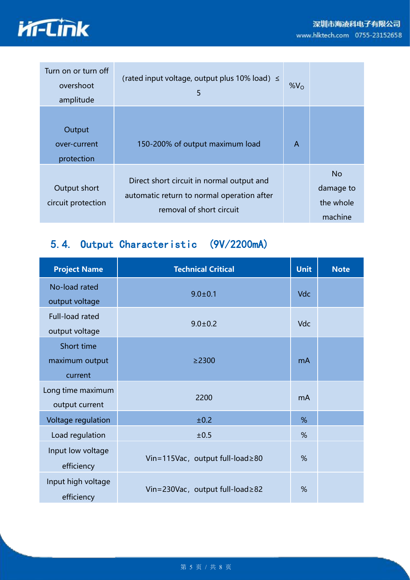

| Turn on or turn off<br>overshoot<br>amplitude | (rated input voltage, output plus 10% load) $\leq$<br>5                                                             | $%V_{O}$ |                                                |  |
|-----------------------------------------------|---------------------------------------------------------------------------------------------------------------------|----------|------------------------------------------------|--|
| Output<br>over-current<br>protection          | 150-200% of output maximum load                                                                                     | A        |                                                |  |
| Output short<br>circuit protection            | Direct short circuit in normal output and<br>automatic return to normal operation after<br>removal of short circuit |          | <b>No</b><br>damage to<br>the whole<br>machine |  |

### <span id="page-6-0"></span>5.4. Output Characteristic (9V/2200mA)

| <b>Project Name</b>                     | <b>Technical Critical</b>       | <b>Unit</b> | <b>Note</b> |
|-----------------------------------------|---------------------------------|-------------|-------------|
| No-load rated<br>output voltage         | $9.0 \pm 0.1$                   | <b>Vdc</b>  |             |
| Full-load rated<br>output voltage       | $9.0 \pm 0.2$                   | <b>Vdc</b>  |             |
| Short time<br>maximum output<br>current | $\geq$ 2300                     | mA          |             |
| Long time maximum<br>output current     | 2200                            | mA          |             |
| Voltage regulation                      | ±0.2                            | %           |             |
| Load regulation                         | ±0.5                            | %           |             |
| Input low voltage<br>efficiency         | Vin=115Vac, output full-load≥80 | %           |             |
| Input high voltage<br>efficiency        | Vin=230Vac, output full-load≥82 | %           |             |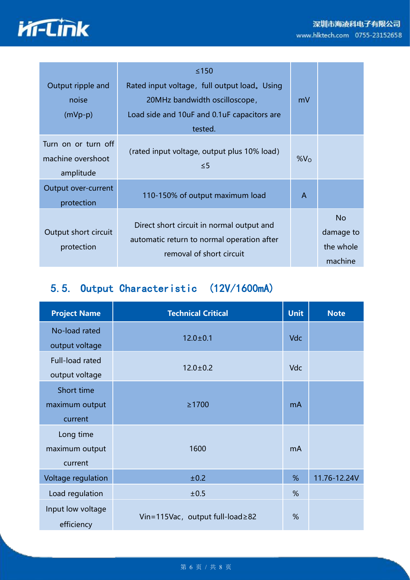#### 深圳市海凌科电子有限公司 www.hlktech.com 0755-23152658



| Output ripple and<br>noise<br>$(mVp-p)$               | $≤150$<br>Rated input voltage, full output load. Using<br>20MHz bandwidth oscilloscope,<br>Load side and 10uF and 0.1uF capacitors are<br>tested. | mV            |                                          |
|-------------------------------------------------------|---------------------------------------------------------------------------------------------------------------------------------------------------|---------------|------------------------------------------|
| Turn on or turn off<br>machine overshoot<br>amplitude | (rated input voltage, output plus 10% load)<br>$\leq$ 5                                                                                           | $%V_{\Omega}$ |                                          |
| Output over-current<br>protection                     | 110-150% of output maximum load                                                                                                                   | A             |                                          |
| Output short circuit<br>protection                    | Direct short circuit in normal output and<br>automatic return to normal operation after<br>removal of short circuit                               |               | No.<br>damage to<br>the whole<br>machine |

## <span id="page-7-0"></span>5.5. Output Characteristic (12V/1600mA)

| <b>Project Name</b>                     | <b>Technical Critical</b>       | <b>Unit</b> | <b>Note</b>  |
|-----------------------------------------|---------------------------------|-------------|--------------|
| No-load rated<br>output voltage         | $12.0 \pm 0.1$                  | Vdc         |              |
| Full-load rated<br>output voltage       | $12.0 \pm 0.2$                  | <b>Vdc</b>  |              |
| Short time<br>maximum output<br>current | $\geq$ 1700                     | mA          |              |
| Long time<br>maximum output<br>current  | 1600                            | mA          |              |
| Voltage regulation                      | ±0.2                            | %           | 11.76-12.24V |
| Load regulation                         | ±0.5                            | %           |              |
| Input low voltage<br>efficiency         | Vin=115Vac, output full-load≥82 | %           |              |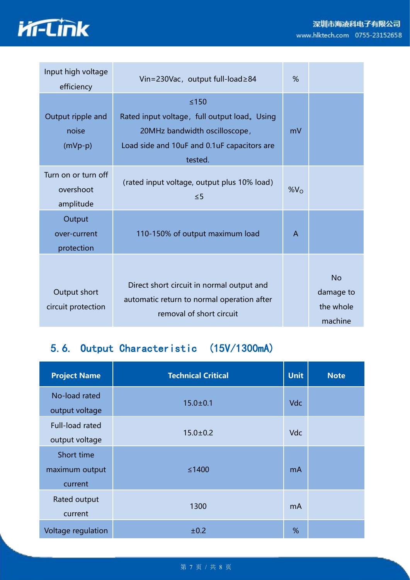



| Input high voltage<br>efficiency              | Vin=230Vac, output full-load≥84                                                                                                                   | %            |                                                |  |
|-----------------------------------------------|---------------------------------------------------------------------------------------------------------------------------------------------------|--------------|------------------------------------------------|--|
| Output ripple and<br>noise<br>$(mVp-p)$       | $≤150$<br>Rated input voltage, full output load. Using<br>20MHz bandwidth oscilloscope,<br>Load side and 10uF and 0.1uF capacitors are<br>tested. | mV           |                                                |  |
| Turn on or turn off<br>overshoot<br>amplitude | (rated input voltage, output plus 10% load)<br>$\leq 5$                                                                                           | $%V_{O}$     |                                                |  |
| Output<br>over-current<br>protection          | 110-150% of output maximum load                                                                                                                   | $\mathsf{A}$ |                                                |  |
| Output short<br>circuit protection            | Direct short circuit in normal output and<br>automatic return to normal operation after<br>removal of short circuit                               |              | <b>No</b><br>damage to<br>the whole<br>machine |  |

## <span id="page-8-0"></span>5.6. Output Characteristic (15V/1300mA)

| <b>Project Name</b>                     | <b>Technical Critical</b> | <b>Unit</b> | <b>Note</b> |
|-----------------------------------------|---------------------------|-------------|-------------|
| No-load rated<br>output voltage         | $15.0 \pm 0.1$            | <b>Vdc</b>  |             |
| Full-load rated<br>output voltage       | $15.0 \pm 0.2$            | Vdc         |             |
| Short time<br>maximum output<br>current | $\leq 1400$               | mA          |             |
| Rated output<br>current                 | 1300                      | mA          |             |
| Voltage regulation                      | ±0.2                      | %           |             |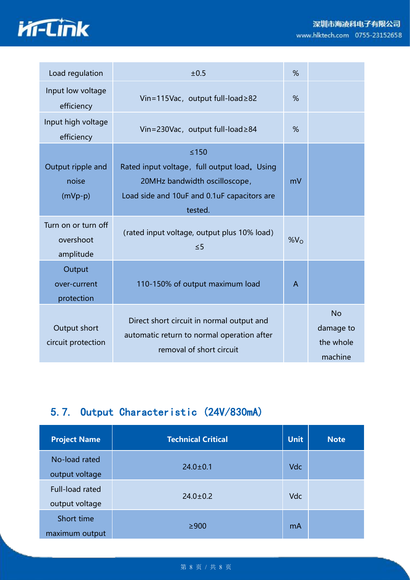

| Load regulation                               | ±0.5                                                                                                                                              | %            |                                                |
|-----------------------------------------------|---------------------------------------------------------------------------------------------------------------------------------------------------|--------------|------------------------------------------------|
| Input low voltage<br>efficiency               | Vin=115Vac, output full-load≥82                                                                                                                   | %            |                                                |
| Input high voltage<br>efficiency              | Vin=230Vac, output full-load≥84                                                                                                                   | %            |                                                |
| Output ripple and<br>noise<br>$(mVp-p)$       | $≤150$<br>Rated input voltage, full output load. Using<br>20MHz bandwidth oscilloscope,<br>Load side and 10uF and 0.1uF capacitors are<br>tested. | mV           |                                                |
| Turn on or turn off<br>overshoot<br>amplitude | (rated input voltage, output plus 10% load)<br>$\leq$ 5                                                                                           | $%V_{O}$     |                                                |
| Output<br>over-current<br>protection          | 110-150% of output maximum load                                                                                                                   | $\mathsf{A}$ |                                                |
| Output short<br>circuit protection            | Direct short circuit in normal output and<br>automatic return to normal operation after<br>removal of short circuit                               |              | <b>No</b><br>damage to<br>the whole<br>machine |

### 5.7. Output Characteristic (24V/830mA)

| <b>Project Name</b>               | <b>Technical Critical</b> | <b>Unit</b> | <b>Note</b> |
|-----------------------------------|---------------------------|-------------|-------------|
| No-load rated<br>output voltage   | $24.0 \pm 0.1$            | Vdc         |             |
| Full-load rated<br>output voltage | $24.0 \pm 0.2$            | <b>Vdc</b>  |             |
| Short time<br>maximum output      | $\geq 900$                | mA          |             |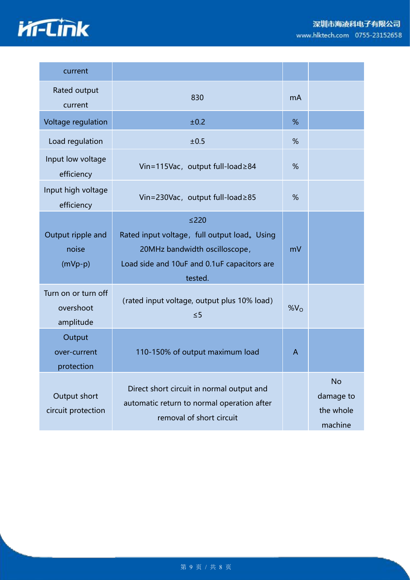



| current                                       |                                                                                                                                                   |                 |                                                |
|-----------------------------------------------|---------------------------------------------------------------------------------------------------------------------------------------------------|-----------------|------------------------------------------------|
| Rated output<br>current                       | 830                                                                                                                                               | mA              |                                                |
| Voltage regulation                            | ±0.2                                                                                                                                              | %               |                                                |
| Load regulation                               | ±0.5                                                                                                                                              | %               |                                                |
| Input low voltage<br>efficiency               | Vin=115Vac, output full-load≥84                                                                                                                   | %               |                                                |
| Input high voltage<br>efficiency              | Vin=230Vac, output full-load≥85                                                                                                                   | %               |                                                |
| Output ripple and<br>noise<br>$(mVp-p)$       | $≤220$<br>Rated input voltage, full output load. Using<br>20MHz bandwidth oscilloscope,<br>Load side and 10uF and 0.1uF capacitors are<br>tested. | mV              |                                                |
| Turn on or turn off<br>overshoot<br>amplitude | (rated input voltage, output plus 10% load)<br>$\leq$ 5                                                                                           | %V <sub>O</sub> |                                                |
| Output<br>over-current<br>protection          | 110-150% of output maximum load                                                                                                                   | $\mathsf{A}$    |                                                |
| Output short<br>circuit protection            | Direct short circuit in normal output and<br>automatic return to normal operation after<br>removal of short circuit                               |                 | <b>No</b><br>damage to<br>the whole<br>machine |

#### 第 9 页 / 共 8 页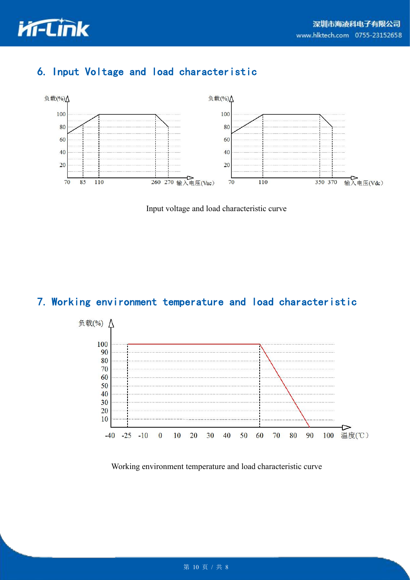

### 6. Input Voltage and load characteristic

<span id="page-11-0"></span>

Input voltage and load characteristic curve

### 7. Working environment temperature and load characteristic



Working environment temperature and load characteristic curve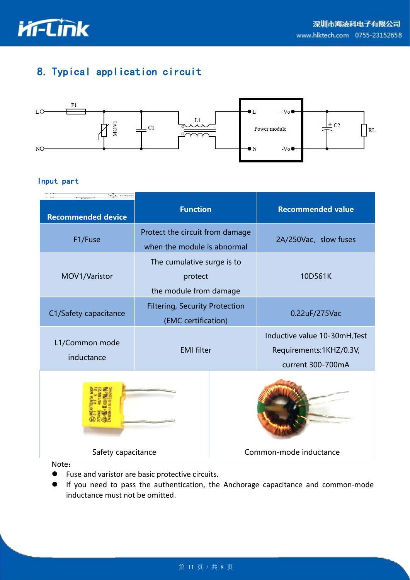![](_page_12_Picture_0.jpeg)

### <span id="page-12-0"></span>8. Typical application circuit

![](_page_12_Figure_3.jpeg)

#### Input part

| $\pm$ case                   |                                                                 |  |                                                                               |  |
|------------------------------|-----------------------------------------------------------------|--|-------------------------------------------------------------------------------|--|
| <b>Recommended device</b>    | <b>Function</b>                                                 |  | <b>Recommended value</b>                                                      |  |
| F1/Fuse                      | Protect the circuit from damage<br>when the module is abnormal  |  | 2A/250Vac, slow fuses                                                         |  |
| MOV1/Varistor                | The cumulative surge is to<br>protect<br>the module from damage |  | 10D561K                                                                       |  |
| C1/Safety capacitance        | <b>Filtering, Security Protection</b><br>(EMC certification)    |  | 0.22uF/275Vac                                                                 |  |
| L1/Common mode<br>inductance | <b>EMI</b> filter                                               |  | Inductive value 10-30mH, Test<br>Requirements:1KHZ/0.3V,<br>current 300-700mA |  |
|                              |                                                                 |  |                                                                               |  |
| Safety capacitance           |                                                                 |  | Common-mode inductance                                                        |  |
| Note:                        |                                                                 |  |                                                                               |  |

<span id="page-12-1"></span>

- Fuse and varistor are basic protective circuits.
- If you need to pass the authentication, the Anchorage capacitance and common-mode inductance must not be omitted.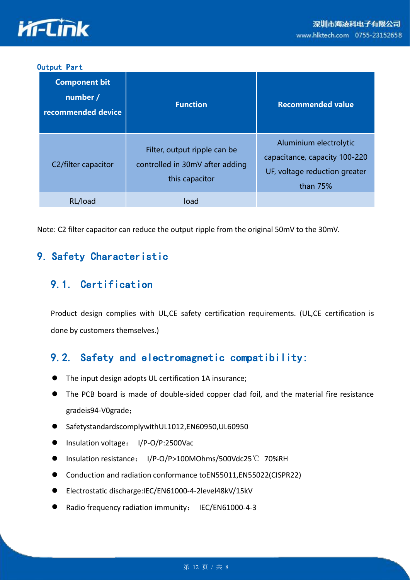![](_page_13_Picture_0.jpeg)

#### Output Part

| <b>Component bit</b><br>number /<br>recommended device | <b>Function</b>                                                                   | <b>Recommended value</b>                                                                             |
|--------------------------------------------------------|-----------------------------------------------------------------------------------|------------------------------------------------------------------------------------------------------|
| C2/filter capacitor                                    | Filter, output ripple can be<br>controlled in 30mV after adding<br>this capacitor | Aluminium electrolytic<br>capacitance, capacity 100-220<br>UF, voltage reduction greater<br>than 75% |
| RL/load                                                | load                                                                              |                                                                                                      |

<span id="page-13-0"></span>Note: C2 filter capacitor can reduce the output ripple from the original 50mV to the 30mV.

#### 9. Safety Characteristic

#### 9.1. Certification

<span id="page-13-1"></span>Product design complies with UL,CE safety certification requirements. (UL,CE certification is done by customers themselves.)

#### 9.2. Safety and electromagnetic compatibility:

- The input design adopts UL certification 1A insurance;
- The PCB board is made of double-sided copper clad foil, and the material fire resistance gradeis94-V0grade;
- SafetystandardscomplywithUL1012,EN60950,UL60950
- Insulation voltage: I/P-O/P:2500Vac
- Insulation resistance: I/P-O/P>100MOhms/500Vdc25℃ 70%RH
- Conduction and radiation conformance toEN55011,EN55022(CISPR22)
- Electrostatic discharge:IEC/EN61000-4-2level48kV/15kV
- Radio frequency radiation immunity: IEC/EN61000-4-3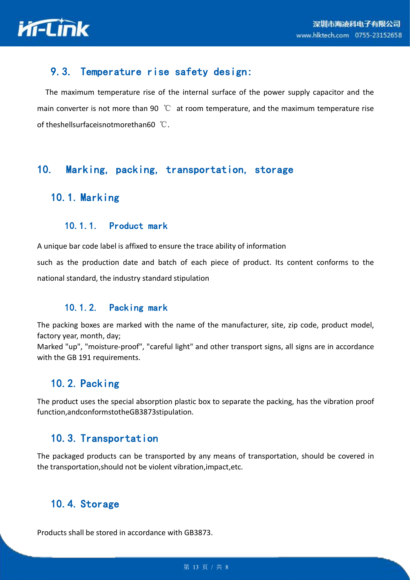![](_page_14_Picture_1.jpeg)

#### <span id="page-14-0"></span>9.3. Temperature rise safety design:

The maximum temperature rise of the internal surface of the power supply capacitor and the main converter is not more than 90  $\degree{\text{C}}$  at room temperature, and the maximum temperature rise of theshellsurfaceisnotmorethan60 ℃.

#### <span id="page-14-1"></span>10. Marking, packing, transportation, storage

#### 10.1. Marking

#### 10.1.1. Product mark

A unique bar code label is affixed to ensure the trace ability of information

such as the production date and batch of each piece of product. Its content conforms to the national standard, the industry standard stipulation

#### <span id="page-14-2"></span>10.1.2. Packing mark

The packing boxes are marked with the name of the manufacturer, site, zip code, product model, factory year, month, day;

Marked "up", "moisture-proof", "careful light" and other transport signs, all signs are in accordance with the GB 191 requirements.

#### 10.2. Packing

The product uses the special absorption plastic box to separate the packing, has the vibration proof function,andconformstotheGB3873stipulation.

#### 10.3. Transportation

The packaged products can be transported by any means of transportation, should be covered in the transportation,should not be violent vibration,impact,etc.

#### 10.4. Storage

<span id="page-14-3"></span>Products shall be stored in accordance with GB3873.